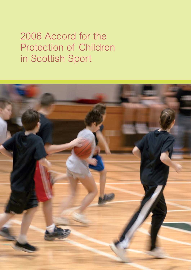# 2006 Accord for the Protection of Children in Scottish Sport

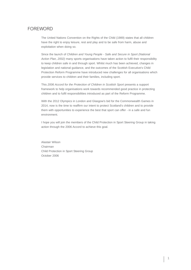# FOREWORD

The United Nations Convention on the Rights of the Child (1989) states that all children have the right to enjoy leisure, rest and play and to be safe from harm, abuse and exploitation when doing so.

Since the launch of *Children and Young People - Safe and Secure in Sport (National Action Plan, 2002)* many sports organisations have taken action to fulfil their responsibility to keep children safe in and through sport. Whilst much has been achieved, changes in legislation and national guidance, and the outcomes of the Scottish Executive's Child Protection Reform Programme have introduced new challenges for all organisations which provide services to children and their families, including sport.

This 2006 Accord for the Protection of Children in Scottish Sport presents a support framework to help organisations work towards recommended good practice in protecting children and to fulfil responsibilities introduced as part of the Reform Programme.

With the 2012 Olympics in London and Glasgow's bid for the Commonwealth Games in 2014, now is the time to reaffirm our intent to protect Scotland's children and to provide them with opportunities to experience the best that sport can offer - in a safe and fun environment.

I hope you will join the members of the Child Protection in Sport Steering Group in taking action through the 2006 Accord to achieve this goal.

Alastair Wilson Chairman Child Protection in Sport Steering Group October 2006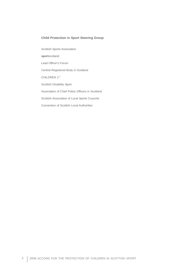### **Child Protection in Sport Steering Group**

Scottish Sports Association **sport**scotland Lead Officer's Forum Central Registered Body in Scotland CHILDREN 1ST Scottish Disability Sport Association of Chief Police Officers in Scotland Scottish Association of Local Sports Councils Convention of Scottish Local Authorities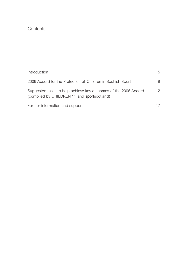# **Contents**

| Introduction                                                                                                                        | 5  |
|-------------------------------------------------------------------------------------------------------------------------------------|----|
| 2006 Accord for the Protection of Children in Scottish Sport                                                                        | 9  |
| Suggested tasks to help achieve key outcomes of the 2006 Accord<br>(compiled by CHILDREN 1 <sup>st</sup> and <b>sport</b> scotland) | 12 |
| Further information and support                                                                                                     | 17 |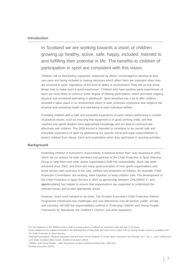#### **Introduction**

In Scotland we are working towards a vision of children growing up healthy, active, safe, happy, included, listened to and fulfilling their potential in life. The benefits to children of participation in sport are consistent with this vision.

Children<sup>1</sup> tell us that feeling supported, respected by others, encouraged to develop at their own pace and being included in making decisions which affect them are important when they are involved in sport, regardless of the level of ability or environment. They tell us that these things help to make sport a good experience<sup>2</sup>. Children who have positive early experiences of sport are more likely to continue some degree of lifelong participation, which promotes ongoing physical and emotional well-being in adulthood<sup>3</sup>. Sport therefore has a lot to offer children provided it takes place in an environment which is safe, promotes enjoyment and respects the physical and emotional health and well-being of each individual athlete.

Providing children with a safe and enjoyable experience of sport means addressing a number of practical issues, such as ensuring that equipment is in good working order, and that coaches and sports leaders have appropriate knowledge and are able to communicate effectively with children. The 2006 Accord is intended to contribute to an overall safe and enjoyable experience of sport by addressing our specific moral and legal responsibilities to protect children from abuse, harm and exploitation when they participate in sporting activities.

#### **Background**

*Protecting children is everyone's responsibility.* A National Action Plan<sup>4</sup> was launched in 2002 which set out actions for both members and partners of the Child Protection in Sport Steering Group to help them and other sports organisations fulfil this responsibility. Much has been achieved since 2002, and there are many good examples of how sports organisations and those whose main business is the care, welfare and protection of children, for example, Child Protection Committees, are working, often together, to keep children safe. The development of the Child Protection in Sport Service in 2002 (a partnership between CHILDREN 1<sup>st</sup> and **sport**scotland) has helped to ensure that organisations are supported to understand the relevant issues and to take appropriate action.

However, much work remains to be done. The Scottish Executive's Child Protection Reform Programme introduced new challenges and now determines how all sectors: public, private and voluntary will fulfil the responsibilities outlined in *Protecting Children and Young People: Framework for Standards, the Children's Charter<sup>6</sup> and other legislation.* 

<sup>1</sup>For the purposes of the 2006 Accord a child or young person is defined as someone under the age of 18 years.

<sup>&</sup>lt;sup>2</sup> Views obtained from children involved in the development of Stay Safe and Have Fun in Sport Info for Young People resource available from the Child Protection in Sport Service.

<sup>3</sup> Lifelong Participation, Physical Education and the Work of Ken Roberts, K Green Sport, Education and Society, Vol 7, No. 2, p167 (2002) and Let's Make Scotland More Active, Scottish Executive (2003)

<sup>4</sup> Children and Young People - Safe and Secure in Sport (National Action Plan 2002-05),

<sup>5</sup> Scottish Executive (2003)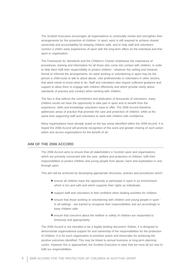The Scottish Executive encourages all organisations to continually review and strengthen their arrangements for the protection of children. In sport, work is still required to achieve shared ownership and accountability for keeping children safe, and to help staff and volunteers connect a child's early experiences of sport with the long-term effect on the individual and that sport or organisation.

The *Framework for Standards* and the *Children's Charter* emphasise the importance of procedures, training and information for all those who come into contact with children, in order to help them fulfil their responsibility to protect children - whatever the setting and however formal or informal the arrangements. An adult working or volunteering in sport may be the person a child trusts to talk to about abuse. Like professionals or volunteers in other sectors, that adult needs to know what to do. Staff and volunteers also require sufficient guidance and support to allow them to engage with children effectively and which provide clarity about standards of practice and conduct when working with children.

The fact is that without the commitment and dedication of thousands of volunteers, many children would not have the opportunity to take part in sport and to benefit from the experience, skills and knowledge volunteers have to offer. The 2006 Accord therefore addresses areas of practice that promote the care and protection of children, while at the same time supporting staff and volunteers to work with children with confidence.

Many organisations have already acted on the key areas identified within the 2006 Accord. It is hoped the 2006 Accord will promote recognition of this work and greater sharing of such action within and across organisations for the benefit of all.

## **AIM OF THE 2006 ACCORD**

The 2006 Accord aims to ensure that all stakeholders in Scottish sport and organisations which are primarily concerned with the care, welfare and protection of children, fulfil their responsibilities to protect children and young people from abuse, harm and exploitation in and through sport.

This aim will be achieved by developing appropriate structures, policies and procedures which:

- $\bullet$  ensure all children have the opportunity to participate in sport in an environment which is fun and safe and which supports their rights as individuals.
- $\bullet$  support staff and volunteers to feel confident when leading activities for children.
- $\bullet$  ensure that those working or volunteering with children and young people in sport *in all settings* - are trained to recognise their responsibilities and act accordingly to keep children safe.
- $\bullet$  ensure that concerns about the welfare or safety of children are responded to timeously and appropriately.

The 2006 Accord is not intended to be a legally binding document. Rather, it is designed to demonstrate organisational support for and ownership of the responsibilities for the protection of children. It is for each organisation to prioritise action and timescales for achieving the positive outcomes identified. This may be linked to annual business or long-term planning cycles. However this is approached, the Scottish Executive is clear that we must all act *now* to fulfil our responsibilities.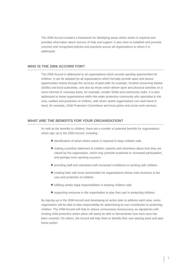The 2006 Accord contains a framework for identifying areas where action is required and provides information about sources of help and support. It also aims to establish and promote common and recognised policies and practices across all organisations to whom it is addressed.

### **WHO IS THE 2006 ACCORD FOR?**

The 2006 Accord is addressed to all organisations which provide sporting opportunities for children. It can be adopted by all organisations which formally provide sport and leisure opportunities mainly through the services of paid staff, for example, Scottish Governing Bodies (SGBs) and local authorities, and also by those which deliver sport and physical activities on a more informal or voluntary basis, for example, smaller SGBs and community clubs. It is also addressed to those organisations within the wider protective community who specialise in the care, welfare and protection of children, with whom sports organisations can work hand in hand, for example, Child Protection Committees and local police and social work services.

# **WHAT ARE THE BENEFITS FOR YOUR ORGANISATION?**

As well as the benefits to children, there are a number of potential benefits for organisations which sign up to the 2006 Accord, including:

- $\bullet$  identification of areas where action is required to keep children safe.
- $\bullet$  making a positive statement to children, parents and volunteers about how they are valued by the organisation, which may promote sustained or increased participation, and perhaps even sporting success!
- $\bullet$  providing staff and volunteers with increased confidence in working with children.
- $\bullet$  creating links with local communities for organisations whose main business is the care and protection of children.
- $\bullet$  fulfilling certain legal responsibilities in keeping children safe.
- supporting everyone in the organisation to play their part in protecting children.

By signing up to the 2006 Accord and developing an action plan to address each area, every organisation will be able to take responsibility for determining its own contribution to protecting children. The 2006 Accord will help to reduce unnecessary bureaucracy, as signatories with existing child protection action plans will easily be able to demonstrate how each area has been covered. For others, the Accord will help them to identify their own starting point and plan future action.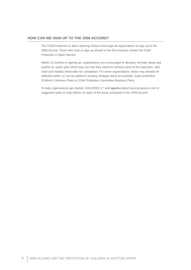# **HOW CAN WE SIGN UP TO THE 2006 ACCORD?**

The Child Protection in Sport Steering Group encourage all organisations to sign up to the 2006 Accord. Those who wish to sign up should in the first instance contact the Child Protection in Sport Service.

Within 12 months of signing up, organisations are encouraged to develop, formally adopt and publish an action plan which sets out how they intend to achieve each of the outcomes, with clear and realistic timescales for completion. For some organisations, these may already be reflected within, or can be added to existing strategic plans for example, local authorities' Children's Services Plans or Child Protection Committee Business Plans.

To help organisations get started, CHILDREN 1ST and **sport**scotland have produced a list of suggested tasks to help deliver on each of the areas contained in the 2006 Accord: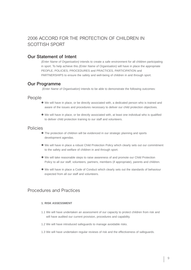# 2006 ACCORD FOR THE PROTECTION OF CHILDREN IN SCOTTISH SPORT

# Our Statement of Intent

*(Enter Name of Organisation)* intends to create a safe environment for all children participating in sport. To help achieve this *(Enter Name of Organisation)* will have in place the appropriate PEOPLE, POLICIES, PROCEDURES and PRACTICES, PARTICIPATION and PARTNERSHIPS to ensure the safety and well-being of children in and through sport.

# Our Programme

*(Enter Name of Organisation)* intends to be able to demonstrate the following outcomes:

# People

- $\bullet$  We will have in place, or be directly associated with, a dedicated person who is trained and aware of the issues and procedures necessary to deliver our child protection objectives.
- $\bullet$  We will have in place, or be directly associated with, at least one individual who is qualified to deliver child protection training to our staff and volunteers.

# Policies

- The protection of children will be evidenced in our strategic planning and sports development agendas.
- $\bullet$  We will have in place a robust Child Protection Policy which clearly sets out our commitment to the safety and welfare of children in and through sport.
- $\bullet$  We will take reasonable steps to raise awareness of and promote our Child Protection Policy to all our staff, volunteers, partners, members (if appropriate), parents and children.
- $\bullet$  We will have in place a Code of Conduct which clearly sets out the standards of behaviour expected from all our staff and volunteers.

# Procedures and Practices

### **1. RISK ASSESSMENT**

- 1.1 We will have undertaken an assessment of our capacity to protect children from risk and will have audited our current provision, procedures and capability.
- 1.2 We will have introduced safeguards to manage avoidable risks.
- 1.3 We will have undertaken regular reviews of risk and the effectiveness of safeguards.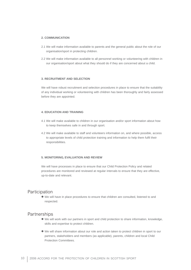#### **2. COMMUNICATION**

- 2.1 We will make information available to parents and the general public about the role of our organisation/sport in protecting children.
- 2.2 We will make information available to all personnel working or volunteering with children in our organisation/sport about what they should do if they are concerned about a child.

### **3. RECRUITMENT AND SELECTION**

We will have robust recruitment and selection procedures in place to ensure that the suitability of any individual working or volunteering with children has been thoroughly and fairly assessed before they are appointed.

#### **4. EDUCATION AND TRAINING**

- 4.1 We will make available to children in our organisation and/or sport information about how to keep themselves safe in and through sport.
- 4.2 We will make available to staff and volunteers information on, and where possible, access to appropriate levels of child protection training and information to help them fulfil their responsibilities.

#### **5. MONITORING, EVALUATION AND REVIEW**

We will have processes in place to ensure that our Child Protection Policy and related procedures are monitored and reviewed at regular intervals to ensure that they are effective, up-to-date and relevant.

# Participation

 $\bullet$  We will have in place procedures to ensure that children are consulted, listened to and respected.

# **Partnerships**

- $\bullet$  We will work with our partners in sport and child protection to share information, knowledge, skills and expertise to protect children.
- $\bullet$  We will share information about our role and action taken to protect children in sport to our partners, stakeholders and members (as applicable), parents, children and local Child Protection Committees.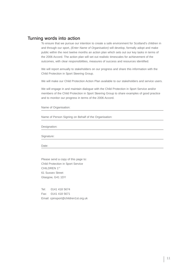# Turning words into action

To ensure that we pursue our intention to create a safe environment for Scotland's children in and through our sport, *(Enter Name of Organisation)* will develop, formally adopt and make public within the next twelve months an action plan which sets out our key tasks in terms of the 2006 Accord. The action plan will set out realistic timescales for achievement of the outcomes, with clear responsibilities, measures of success and resources identified.

We will report annually to stakeholders on our progress and share this information with the Child Protection in Sport Steering Group.

We will make our Child Protection Action Plan available to our stakeholders and service users.

We will engage in and maintain dialogue with the Child Protection in Sport Service and/or members of the Child Protection in Sport Steering Group to share examples of good practice and to monitor our progress in terms of the 2006 Accord.

Name of Organisation:

Name of Person Signing on Behalf of the Organisation:

Designation:

Signature:

Date:

Please send a copy of this page to: Child Protection in Sport Service CHILDREN 1ST 61 Sussex Street Glasgow, G41 1DY

Tel: 0141 418 5674 Fax: 0141 418 5671 Email: cpinsport@children1st.org.uk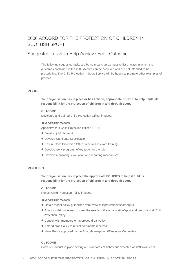# 2006 ACCORD FOR THE PROTECTION OF CHILDREN IN SCOTTISH SPORT

# Suggested Tasks To Help Achieve Each Outcome

The following suggested tasks are by no means an exhaustive list of ways in which the outcomes contained in the 2006 Accord can be achieved and are not intended to be prescriptive. The Child Protection in Sport Service will be happy to promote other examples of practice.

#### **PEOPLE**

**Your organisation has in place or has links to, appropriate PEOPLE to help it fulfil its responsibility for the protection of children in and through sport.** 

#### **OUTCOME**

Dedicated and trained Child Protection Officer in place.

#### **SUGGESTED TASKS**

Appoint/recruit Child Protection Officer (CPO)

- **•** Develop job/role remit.
- $\bullet$  Develop Candidate Specification.
- **Ensure Child Protection Officer receives relevant training.**
- $\bullet$  Develop work programme/key tasks for the role.
- $\bullet$  Develop monitoring, evaluation and reporting mechanism.

### **POLICIES**

**Your organisation has in place the appropriate POLICIES to help it fulfil its responsibility for the protection of children in and through sport.** 

#### **OUTCOME**

Robust Child Protection Policy in place.

#### **SUGGESTED TASKS**

- $\bullet$  Obtain model policy guidelines from www.childprotectioninsport.org.uk
- Adapt model guidelines to meet the needs of the organisation/sport and produce draft Child Protection Policy.
- $\bullet$  Consult with members on approved draft Policy.
- $\bullet$  Amend draft Policy to reflect comments received.
- $\bullet$  Have Policy approved by the Board/Management/Executive Committee.

#### **OUTCOME**

Code of Conduct in place setting out standards of behaviour expected of staff/volunteers.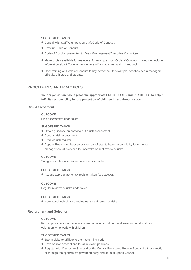#### **SUGGESTED TASKS**

- $\bullet$  Consult with staff/volunteers on draft Code of Conduct.
- Draw up Code of Conduct.
- $\bullet$  Code of Conduct presented to Board/Management/Executive Committee.
- $\bullet$  Make copies available for members, for example, post Code of Conduct on website, include information about Code in newsletter and/or magazine, and in handbook.
- $\bullet$  Offer training on Code of Conduct to key personnel, for example, coaches, team managers, officials, athletes and parents.

## **PROCEDURES AND PRACTICES**

**Your organisation has in place the appropriate PROCEDURES and PRACTICES to help it fulfil its responsibility for the protection of children in and through sport.** 

#### **Risk Assessment**

#### **OUTCOME**

Risk assessment undertaken.

#### **SUGGESTED TASKS**

- $\bullet$  Obtain guidance on carrying out a risk assessment.
- Conduct risk assessment.
- Produce risk register.
- Appoint Board member/senior member of staff to have responsibility for ongoing management of risks and to undertake annual review of risks.

#### **OUTCOME**

Safeguards introduced to manage identified risks.

#### **SUGGESTED TASKS**

 $\bullet$  Actions appropriate to risk register taken (see above).

#### **OUTCOME**

Regular reviews of risks undertaken.

#### **SUGGESTED TASKS**

 $\bullet$  Nominated individual co-ordinates annual review of risks.

#### **Recruitment and Selection**

#### **OUTCOME**

Robust procedures in place to ensure the safe recruitment and selection of all staff and volunteers who work with children.

#### **SUGGESTED TASKS**

- Sports clubs to affiliate to their governing body
- $\bullet$  Develop role descriptions for all relevant positions.
- $\bullet$  Register with Disclosure Scotland or the Central Registered Body in Scotland either directly or through the sport/club's governing body and/or local Sports Council.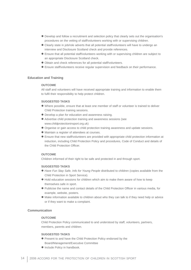- $\bullet$  Develop and follow a recruitment and selection policy that clearly sets out the organisation's procedures on the vetting of staff/volunteers working with or supervising children.
- Clearly state in job/role adverts that all potential staff/volunteers will have to undergo an interview and Disclosure Scotland check and provide references.
- $\bullet$  Ensure that all potential staff/volunteers working with or supervising children are subject to an appropriate Disclosure Scotland check.
- $\bullet$  Obtain and check references for all potential staff/volunteers.
- **•** Ensure staff/volunteers receive regular supervision and feedback on their performance.

#### **Education and Training**

#### **OUTCOME**

All staff and volunteers will have received appropriate training and information to enable them to fulfil their responsibility to help protect children.

#### **SUGGESTED TASKS**

- $\bullet$  Where possible, ensure that at least one member of staff or volunteer is trained to deliver Child Protection training sessions.
- $\bullet$  Develop a plan for education and awareness raising.
- $\bullet$  Advertise child protection training and awareness sessions (see www.childprotectioninsport.org.uk)
- $\bullet$  Organise or gain access to child protection training awareness and update sessions.
- $\bullet$  Maintain a register of attendees at courses.
- $\bullet$  Ensure that new staff/volunteers are provided with appropriate child protection information at induction, including Child Protection Policy and procedures, Code of Conduct and details of the Child Protection Officer.

#### **OUTCOME**

Children informed of their right to be safe and protected in and through sport.

#### **SUGGESTED TASKS**

- Have Fun Stay Safe, Info for Young People distributed to children (copies available from the Child Protection in Sport Service).
- $\bullet$  Hold education sessions for children which aim to make them aware of how to keep themselves safe in sport.
- $\bullet$  Publicise the name and contact details of the Child Protection Officer in various media, for example, website, posters.
- $\bullet$  Make information available to children about who they can talk to if they need help or advice or if they want to make a complaint.

### **Communication**

#### **OUTCOME**

Child Protection Policy communicated to and understood by staff, volunteers, partners, members, parents and children.

#### **SUGGESTED TASKS**

- **•** Present to and have the Child Protection Policy endorsed by the Board/Management/Executive Committee
- $\bullet$  Include Policy in handbook.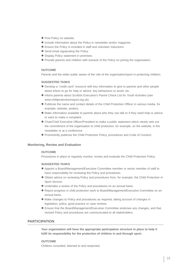- Post Policy on website.
- $\bullet$  Include information about the Policy in newsletter and/or magazine.
- **•** Ensure the Policy is included in staff and volunteer inductions.
- Send email signposting the Policy.
- $\bullet$  Display Policy statement in premises.
- $\bullet$  Provide parents and children with extracts of the Policy on joining the organisation.

#### **OUTCOME**

Parents and the wider public aware of the role of the organisation/sport in protecting children.

#### **SUGGESTED TASKS**

- $\bullet$  Develop a "credit card" resource with key information to give to parents and other people about where to go for help or advice, key behaviours to avoid, etc.
- **Inform parents about Scottish Executive's Parent Check List for Youth Activities (see** www.childprotectioninsport.org.uk).
- $\bullet$  Publicise the name and contact details of the Child Protection Officer in various media, for example, website, posters.
- $\bullet$  Make information available to parents about who they can talk to if they need help or advice or want to make a complaint.
- Chair/Chief Executive Officer/President to make a public statement which clearly sets out the commitment of the organisation to child protection, for example, on the website, in the newsletter or at a conference.
- **Prominently publicise the Child Protection Policy, procedures and Code of Conduct.**

#### **Monitoring, Review and Evaluation**

#### **OUTCOME**

Procedures in place to regularly monitor, review and evaluate the Child Protection Policy.

### **SUGGESTED TASKS**

- Appoint a Board/Management/Executive Committee member or senior member of staff to have responsibility for reviewing the Policy and procedures.
- $\bullet$  Obtain advice on reviewing Policy and procedures from, for example, the Child Protection in Sport Service.
- $\bullet$  Undertake a review of the Policy and procedures on an annual basis.
- Report progress in child protection work to Board/Management/Executive Committee on an annual basis.
- $\bullet$  Make changes to Policy and procedures as required, taking account of changes in legislation, policy, good practice or case reviews.
- $\bullet$  Ensure that the Board/Management/Executive Committee endorses any changes, and that revised Policy and procedures are communicated to all stakeholders.

### **PARTICIPATION**

**Your organisation will have the appropriate participation structure in place to help it fulfil its responsibility for the protection of children in and through sport.** 

#### **OUTCOME**

Children consulted, listened to and respected.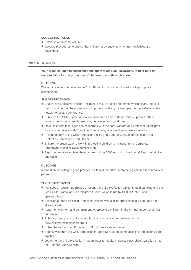#### **SUGGESTED TASKS**

- $\bullet$  Establish a forum for children.
- $\bullet$  Develop procedures to ensure that children are consulted when new initiatives are developed.

### **PARTNERSHIPS**

**Your organisation has established the appropriate PARTNERSHIPS to help fulfil its responsibility for the protection of children in and through sport.** 

#### **OUTCOME**

The organisation's commitment to Child Protection is communicated to all appropriate stakeholders.

#### **SUGGESTED TASKS**

- Chair/Chief Executive Officer/President to make a public statement which clearly sets out the commitment of the organisation to protect children, for example, on the website, in the newsletter or at a conference.
- Publicise the Child Protection Policy, procedures and Code of Conduct prominently in various media, for example, website, newsletter and handbook.
- $\bullet$  Make links with local agencies concerned with the care, welfare and protection of children, for example, local Child Protection Committees, police and social work services.
- $\bullet$  Provide a copy of the Child Protection Policy and Code of Conduct to the local Child Protection Committee Lead Officer.
- **•** Ensure the organisation's work in protecting children is included in the Corporate Strategy/Business or Development Plan.
- $\bullet$  Report on work to achieve the outcomes of the 2006 Accord in the Annual Report or similar publication.

#### **OUTCOME**

Information, knowledge, good practice, skills and expertise in protecting children is shared with partners.

#### **SUGGESTED TASKS**

- $\bullet$  For Scottish Governing Bodies of Sport, the Child Protection Officer should participate in the Lead Child Protection Co-ordinator's Group, which is run by CHILDREN 1<sup>st</sup> and **sport**scotland.
- $\bullet$  Establish a forum for Child Protection Officers with similar organisations if one does not already exist.
- Report on work on, and commitment to, protecting children in the Annual Report or similar publication.
- Publicise good practice, for example, on the organisation's website and on www.childprotectioninsport.org.uk.
- **•** Subscribe to the Child Protection in Sport Service e-newsletter.
- **Seek advice from the Child Protection in Sport Service on communicating and sharing good** practice.
- $\bullet$  Log on to the Child Protection in Sport website regularly. Sports clubs should also log on to the Help for Clubs website.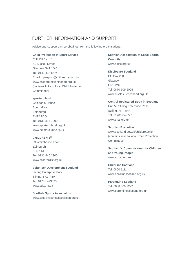# FURTHER INFORMATION AND SUPPORT

Advice and support can be obtained from the following organisations:

#### **Child Protection in Sport Service**

CHILDREN 1ST 61 Sussex Street Glasgow G41 1DY Tel: 0141 418 5674 Email: cpinsport@children1st.org.uk www.childprotectioninsport.org.uk (contains links to local Child Protection Committees)

# **sport**scotland

Caledonia House South Gyle Edinburgh EH12 9DQ Tel: 0131 317 7200 www.sportscotland.org.uk www.helpforclubs.org.uk

## **CHILDREN 1ST**

83 Whitehouse Loan Edinburgh EH9 1AT Tel: 0131 446 2300 www.children1st.org.uk

#### **Volunteer Development Scotland**

Stirling Enterprise Park Stirling, FK7 7RP Tel: 01786 479593 www.vds.org.uk

#### **Scottish Sports Association**

www.scottishsportsassociation.org.uk

**Scottish Association of Local Sports Councils** www.salsc.org.uk

### **Disclosure Scotland**

PO Box 250 Glasgow G51 1YU Tel: 0870 609 6006 www.disclosurescotland.org.uk

#### **Central Registered Body in Scotland**

Unit 55 Stirling Enterprise Park Stirling, FK7 7RP Tel: 01786 849777 www.crbs.org.uk

#### **Scottish Executive**

www.scotland.gov.uk/childprotection (contains links to local Child Protection Committees)

**Scotland's Commissioner for Children and Young People** www.sccyp.org.uk

# **ChildLine Scotland** Tel: 0800 1111 www.childlinescotland.org.uk

**ParentLine Scotland** Tel: 0808 800 2222 www.parentlinescotland.org.uk